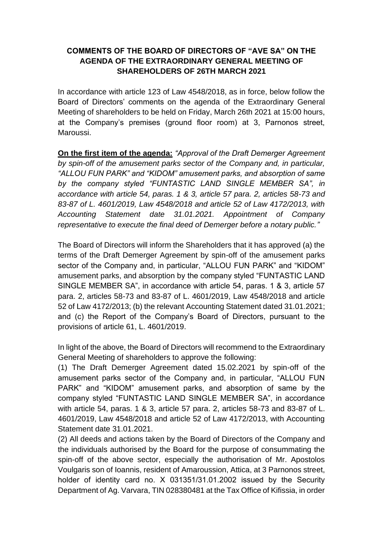## **COMMENTS OF THE BOARD OF DIRECTORS OF "AVE SA" ON THE AGENDA OF THE EXTRAORDINARY GENERAL MEETING OF SHAREHOLDERS OF 26TH MARCH 2021**

In accordance with article 123 of Law 4548/2018, as in force, below follow the Board of Directors' comments on the agenda of the Extraordinary General Meeting of shareholders to be held on Friday, March 26th 2021 at 15:00 hours, at the Company's premises (ground floor room) at 3, Parnonos street, Maroussi.

**On the first item of the agenda:** *"Approval of the Draft Demerger Agreement by spin-off of the amusement parks sector of the Company and, in particular, "ALLOU FUN PARK" and "KIDOM" amusement parks, and absorption of same by the company styled "FUNTASTIC LAND SINGLE MEMBER SA", in accordance with article 54, paras. 1 & 3, article 57 para. 2, articles 58-73 and 83-87 of L. 4601/2019, Law 4548/2018 and article 52 of Law 4172/2013, with Accounting Statement date 31.01.2021. Appointment of Company representative to execute the final deed of Demerger before a notary public."*

The Board of Directors will inform the Shareholders that it has approved (a) the terms of the Draft Demerger Agreement by spin-off of the amusement parks sector of the Company and, in particular, "ALLOU FUN PARK" and "KIDOM" amusement parks, and absorption by the company styled "FUNTASTIC LAND SINGLE MEMBER SA", in accordance with article 54, paras. 1 & 3, article 57 para. 2, articles 58-73 and 83-87 of L. 4601/2019, Law 4548/2018 and article 52 of Law 4172/2013; (b) the relevant Accounting Statement dated 31.01.2021; and (c) the Report of the Company's Board of Directors, pursuant to the provisions of article 61, L. 4601/2019.

In light of the above, the Board of Directors will recommend to the Extraordinary General Meeting of shareholders to approve the following:

(1) The Draft Demerger Agreement dated 15.02.2021 by spin-off of the amusement parks sector of the Company and, in particular, "ALLOU FUN PARK" and "KIDOM" amusement parks, and absorption of same by the company styled "FUNTASTIC LAND SINGLE MEMBER SA", in accordance with article 54, paras. 1 & 3, article 57 para. 2, articles 58-73 and 83-87 of L. 4601/2019, Law 4548/2018 and article 52 of Law 4172/2013, with Accounting Statement date 31.01.2021.

(2) All deeds and actions taken by the Board of Directors of the Company and the individuals authorised by the Board for the purpose of consummating the spin-off of the above sector, especially the authorisation of Mr. Apostolos Voulgaris son of Ioannis, resident of Amaroussion, Attica, at 3 Parnonos street, holder of identity card no. X 031351/31.01.2002 issued by the Security Department of Ag. Varvara, TIN 028380481 at the Tax Office of Kifissia, in order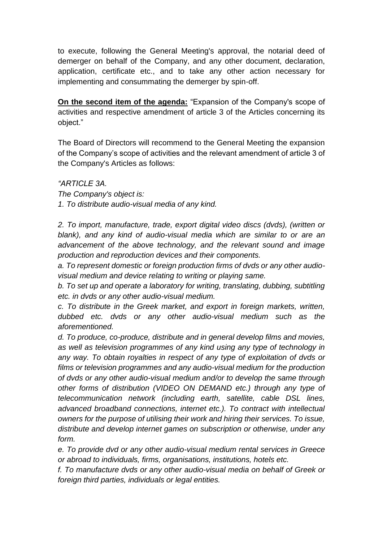to execute, following the General Meeting's approval, the notarial deed of demerger on behalf of the Company, and any other document, declaration, application, certificate etc., and to take any other action necessary for implementing and consummating the demerger by spin-off.

**On the second item of the agenda:** "Expansion of the Company's scope of activities and respective amendment of article 3 of the Articles concerning its object."

The Board of Directors will recommend to the General Meeting the expansion of the Company's scope of activities and the relevant amendment of article 3 of the Company's Articles as follows:

*"ARTICLE 3Α.*

*The Company's object is:*

*1. To distribute audio-visual media of any kind.*

*2. To import, manufacture, trade, export digital video discs (dvds), (written or blank), and any kind of audio-visual media which are similar to or are an advancement of the above technology, and the relevant sound and image production and reproduction devices and their components.*

*a. To represent domestic or foreign production firms of dvds or any other audiovisual medium and device relating to writing or playing same.*

*b. To set up and operate a laboratory for writing, translating, dubbing, subtitling etc. in dvds or any other audio-visual medium.*

*c. To distribute in the Greek market, and export in foreign markets, written, dubbed etc. dvds or any other audio-visual medium such as the aforementioned.*

*d. To produce, co-produce, distribute and in general develop films and movies, as well as television programmes of any kind using any type of technology in any way. To obtain royalties in respect of any type of exploitation of dvds or films or television programmes and any audio-visual medium for the production of dvds or any other audio-visual medium and/or to develop the same through other forms of distribution (VIDEO ON DEMAND etc.) through any type of telecommunication network (including earth, satellite, cable DSL lines, advanced broadband connections, internet etc.). To contract with intellectual owners for the purpose of utilising their work and hiring their services. To issue, distribute and develop internet games on subscription or otherwise, under any form.*

*e. To provide dvd or any other audio-visual medium rental services in Greece or abroad to individuals, firms, organisations, institutions, hotels etc.*

*f. To manufacture dvds or any other audio-visual media on behalf of Greek or foreign third parties, individuals or legal entities.*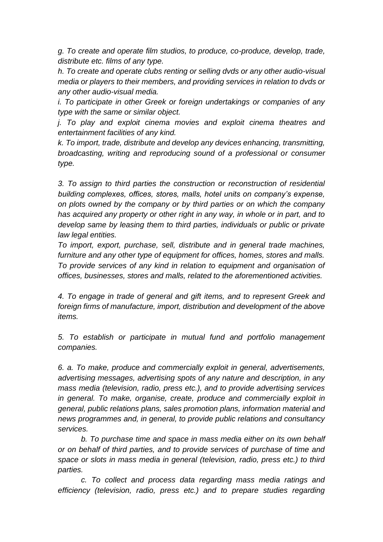*g. To create and operate film studios, to produce, co-produce, develop, trade, distribute etc. films of any type.* 

*h. To create and operate clubs renting or selling dvds or any other audio-visual media or players to their members, and providing services in relation to dvds or any other audio-visual media.*

*i. To participate in other Greek or foreign undertakings or companies of any type with the same or similar object.*

*j. To play and exploit cinema movies and exploit cinema theatres and entertainment facilities of any kind.*

*k. To import, trade, distribute and develop any devices enhancing, transmitting, broadcasting, writing and reproducing sound of a professional or consumer type.*

*3. To assign to third parties the construction or reconstruction of residential building complexes, offices, stores, malls, hotel units on company's expense, on plots owned by the company or by third parties or on which the company has acquired any property or other right in any way, in whole or in part, and to develop same by leasing them to third parties, individuals or public or private law legal entities.*

*To import, export, purchase, sell, distribute and in general trade machines, furniture and any other type of equipment for offices, homes, stores and malls. To provide services of any kind in relation to equipment and organisation of offices, businesses, stores and malls, related to the aforementioned activities.*

*4. To engage in trade of general and gift items, and to represent Greek and foreign firms of manufacture, import, distribution and development of the above items.*

*5. To establish or participate in mutual fund and portfolio management companies.*

*6. a. To make, produce and commercially exploit in general, advertisements, advertising messages, advertising spots of any nature and description, in any mass media (television, radio, press etc.), and to provide advertising services in general. To make, organise, create, produce and commercially exploit in general, public relations plans, sales promotion plans, information material and news programmes and, in general, to provide public relations and consultancy services.*

*b. To purchase time and space in mass media either on its own behalf or on behalf of third parties, and to provide services of purchase of time and space or slots in mass media in general (television, radio, press etc.) to third parties.*

*c. To collect and process data regarding mass media ratings and efficiency (television, radio, press etc.) and to prepare studies regarding*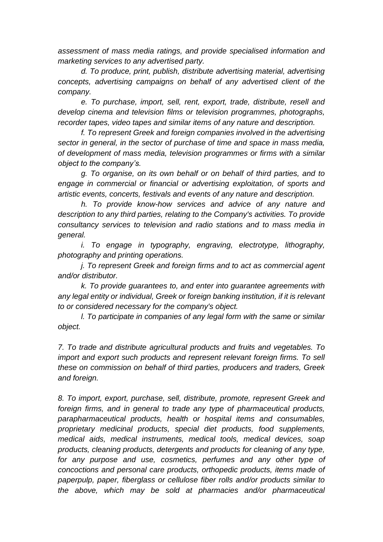*assessment of mass media ratings, and provide specialised information and marketing services to any advertised party.*

*d. To produce, print, publish, distribute advertising material, advertising concepts, advertising campaigns on behalf of any advertised client of the company.*

*e. To purchase, import, sell, rent, export, trade, distribute, resell and develop cinema and television films or television programmes, photographs, recorder tapes, video tapes and similar items of any nature and description.*

*f. To represent Greek and foreign companies involved in the advertising sector in general, in the sector of purchase of time and space in mass media, of development of mass media, television programmes or firms with a similar object to the company's.*

*g. To organise, on its own behalf or on behalf of third parties, and to engage in commercial or financial or advertising exploitation, of sports and artistic events, concerts, festivals and events of any nature and description.*

*h. To provide know-how services and advice of any nature and description to any third parties, relating to the Company's activities. To provide consultancy services to television and radio stations and to mass media in general.*

*i. To engage in typography, engraving, electrotype, lithography, photography and printing operations.*

*j. To represent Greek and foreign firms and to act as commercial agent and/or distributor.*

*k. To provide guarantees to, and enter into guarantee agreements with any legal entity or individual, Greek or foreign banking institution, if it is relevant to or considered necessary for the company's object.*

*l. To participate in companies of any legal form with the same or similar object.*

*7. To trade and distribute agricultural products and fruits and vegetables. To import and export such products and represent relevant foreign firms. To sell these on commission on behalf of third parties, producers and traders, Greek and foreign.*

*8. To import, export, purchase, sell, distribute, promote, represent Greek and foreign firms, and in general to trade any type of pharmaceutical products, parapharmaceutical products, health or hospital items and consumables, proprietary medicinal products, special diet products, food supplements, medical aids, medical instruments, medical tools, medical devices, soap products, cleaning products, detergents and products for cleaning of any type, for any purpose and use, cosmetics, perfumes and any other type of concoctions and personal care products, orthopedic products, items made of paperpulp, paper, fiberglass or cellulose fiber rolls and/or products similar to the above, which may be sold at pharmacies and/or pharmaceutical*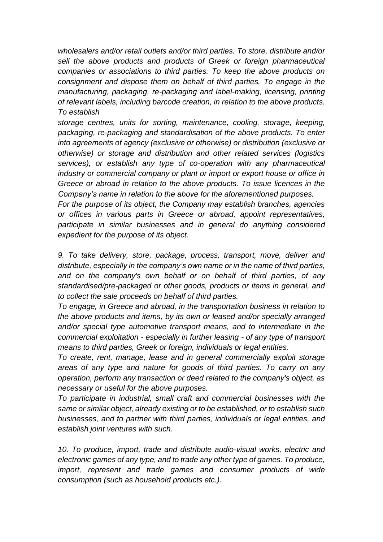*wholesalers and/or retail outlets and/or third parties. To store, distribute and/or sell the above products and products of Greek or foreign pharmaceutical companies or associations to third parties. To keep the above products on consignment and dispose them on behalf of third parties. To engage in the manufacturing, packaging, re-packaging and label-making, licensing, printing of relevant labels, including barcode creation, in relation to the above products. To establish* 

*storage centres, units for sorting, maintenance, cooling, storage, keeping, packaging, re-packaging and standardisation of the above products. To enter into agreements of agency (exclusive or otherwise) or distribution (exclusive or otherwise) or storage and distribution and other related services (logistics services), or establish any type of co-operation with any pharmaceutical industry or commercial company or plant or import or export house or office in Greece or abroad in relation to the above products. To issue licences in the Company's name in relation to the above for the aforementioned purposes.*

*For the purpose of its object, the Company may establish branches, agencies or offices in various parts in Greece or abroad, appoint representatives, participate in similar businesses and in general do anything considered expedient for the purpose of its object.*

*9. To take delivery, store, package, process, transport, move, deliver and distribute, especially in the company's own name or in the name of third parties, and on the company's own behalf or on behalf of third parties, of any standardised/pre-packaged or other goods, products or items in general, and to collect the sale proceeds on behalf of third parties.*

*To engage, in Greece and abroad, in the transportation business in relation to the above products and items, by its own or leased and/or specially arranged and/or special type automotive transport means, and to intermediate in the commercial exploitation - especially in further leasing - of any type of transport means to third parties, Greek or foreign, individuals or legal entities.*

*To create, rent, manage, lease and in general commercially exploit storage areas of any type and nature for goods of third parties. To carry on any operation, perform any transaction or deed related to the company's object, as necessary or useful for the above purposes.*

*To participate in industrial, small craft and commercial businesses with the same or similar object, already existing or to be established, or to establish such businesses, and to partner with third parties, individuals or legal entities, and establish joint ventures with such.*

10. To produce, import, trade and distribute audio-visual works, electric and *electronic games of any type, and to trade any other type of games. To produce, import, represent and trade games and consumer products of wide consumption (such as household products etc.).*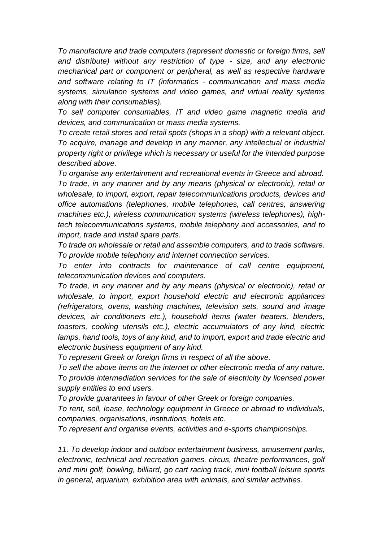*To manufacture and trade computers (represent domestic or foreign firms, sell and distribute) without any restriction of type - size, and any electronic mechanical part or component or peripheral, as well as respective hardware and software relating to IT (informatics - communication and mass media systems, simulation systems and video games, and virtual reality systems along with their consumables).*

*To sell computer consumables, IT and video game magnetic media and devices, and communication or mass media systems.* 

*To create retail stores and retail spots (shops in a shop) with a relevant object. To acquire, manage and develop in any manner, any intellectual or industrial property right or privilege which is necessary or useful for the intended purpose described above.*

*To organise any entertainment and recreational events in Greece and abroad. To trade, in any manner and by any means (physical or electronic), retail or wholesale, to import, export, repair telecommunications products, devices and office automations (telephones, mobile telephones, call centres, answering machines etc.), wireless communication systems (wireless telephones), hightech telecommunications systems, mobile telephony and accessories, and to import, trade and install spare parts.*

*To trade on wholesale or retail and assemble computers, and to trade software. To provide mobile telephony and internet connection services.*

*To enter into contracts for maintenance of call centre equipment, telecommunication devices and computers.*

*To trade, in any manner and by any means (physical or electronic), retail or wholesale, to import, export household electric and electronic appliances (refrigerators, ovens, washing machines, television sets, sound and image devices, air conditioners etc.), household items (water heaters, blenders, toasters, cooking utensils etc.), electric accumulators of any kind, electric lamps, hand tools, toys of any kind, and to import, export and trade electric and electronic business equipment of any kind.*

*To represent Greek or foreign firms in respect of all the above.*

*To sell the above items on the internet or other electronic media of any nature. To provide intermediation services for the sale of electricity by licensed power supply entities to end users.*

*To provide guarantees in favour of other Greek or foreign companies.*

*To rent, sell, lease, technology equipment in Greece or abroad to individuals, companies, organisations, institutions, hotels etc.*

*To represent and organise events, activities and e-sports championships.*

*11. To develop indoor and outdoor entertainment business, amusement parks, electronic, technical and recreation games, circus, theatre performances, golf and mini golf, bowling, billiard, go cart racing track, mini football leisure sports in general, aquarium, exhibition area with animals, and similar activities.*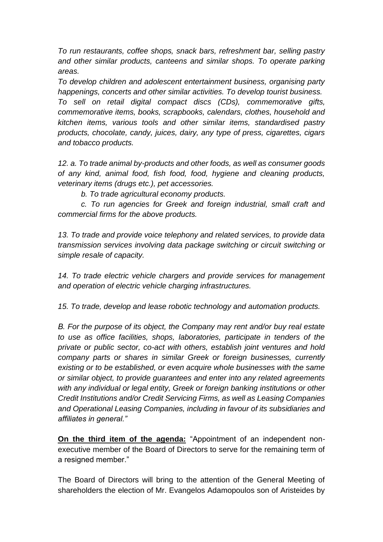*To run restaurants, coffee shops, snack bars, refreshment bar, selling pastry*  and other similar products, canteens and similar shops. To operate parking *areas.*

*To develop children and adolescent entertainment business, organising party happenings, concerts and other similar activities. To develop tourist business. To sell on retail digital compact discs (CDs), commemorative gifts, commemorative items, books, scrapbooks, calendars, clothes, household and kitchen items, various tools and other similar items, standardised pastry products, chocolate, candy, juices, dairy, any type of press, cigarettes, cigars and tobacco products.*

*12. a. To trade animal by-products and other foods, as well as consumer goods of any kind, animal food, fish food, food, hygiene and cleaning products, veterinary items (drugs etc.), pet accessories.*

*b. To trade agricultural economy products.*

*c. To run agencies for Greek and foreign industrial, small craft and commercial firms for the above products.*

*13. To trade and provide voice telephony and related services, to provide data transmission services involving data package switching or circuit switching or simple resale of capacity.*

*14. To trade electric vehicle chargers and provide services for management and operation of electric vehicle charging infrastructures.*

*15. To trade, develop and lease robotic technology and automation products.*

*Β. For the purpose of its object, the Company may rent and/or buy real estate to use as office facilities, shops, laboratories, participate in tenders of the private or public sector, co-act with others, establish joint ventures and hold company parts or shares in similar Greek or foreign businesses, currently existing or to be established, or even acquire whole businesses with the same or similar object, to provide guarantees and enter into any related agreements with any individual or legal entity, Greek or foreign banking institutions or other Credit Institutions and/or Credit Servicing Firms, as well as Leasing Companies and Operational Leasing Companies, including in favour of its subsidiaries and affiliates in general."*

**On the third item of the agenda:** "Appointment of an independent nonexecutive member of the Board of Directors to serve for the remaining term of a resigned member."

The Board of Directors will bring to the attention of the General Meeting of shareholders the election of Mr. Evangelos Adamopoulos son of Aristeides by